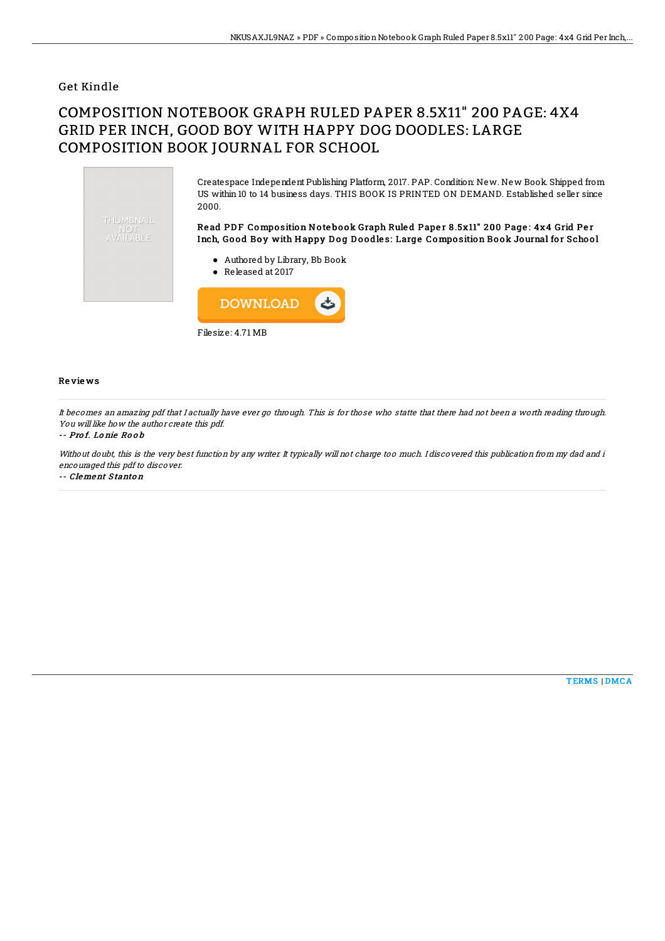### Get Kindle

# COMPOSITION NOTEBOOK GRAPH RULED PAPER 8.5X11" 200 PAGE: 4X4 GRID PER INCH, GOOD BOY WITH HAPPY DOG DOODLES: LARGE COMPOSITION BOOK JOURNAL FOR SCHOOL



Filesize: 4.71 MB

#### Re vie ws

It becomes an amazing pdf that I actually have ever go through. This is for those who statte that there had not been <sup>a</sup> worth reading through. You will like how the author create this pdf.

#### -- Pro f. Lo nie Ro o b

Without doubt, this is the very best function by any writer. It typically will not charge too much. I discovered this publication from my dad and i encouraged this pdf to discover.

-- Clement S tanto <sup>n</sup>